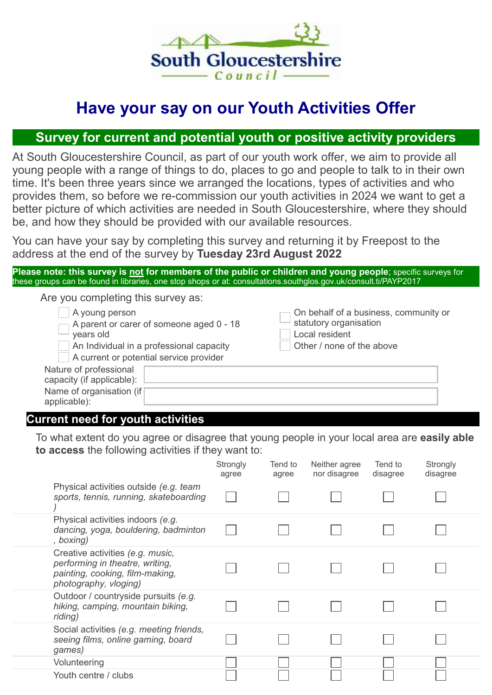

# Have your say on our Youth Activities Offer

## Survey for current and potential youth or positive activity providers

At South Gloucestershire Council, as part of our youth work offer, we aim to provide all young people with a range of things to do, places to go and people to talk to in their own time. It's been three years since we arranged the locations, types of activities and who provides them, so before we re-commission our youth activities in 2024 we want to get a better picture of which activities are needed in South Gloucestershire, where they should be, and how they should be provided with our available resources.

You can have your say by completing this survey and returning it by Freepost to the address at the end of the survey by Tuesday 23rd August 2022

Please note: this survey is not for members of the public or children and young people; specific surveys for these groups can be found in libraries, one stop shops or at: consultations.southglos.gov.uk/consult.ti/PAYP2017

Are you completing this survey as:

| A young person                           | On behalf of a business, community or |
|------------------------------------------|---------------------------------------|
| A parent or carer of someone aged 0 - 18 | statutory organisation                |
| years old                                | Local resident                        |
| An Individual in a professional capacity | Other / none of the above             |
| A current or potential service provider  |                                       |
| Nature of professional                   |                                       |
| capacity (if applicable):                |                                       |
| Name of organisation (if                 |                                       |
| applicable):                             |                                       |

## Current need for youth activities

To what extent do you agree or disagree that young people in your local area are easily able to access the following activities if they want to:

|                                                                                                                                 | Strongly<br>agree | Tend to<br>agree | Neither agree<br>nor disagree | Tend to<br>disagree | Strongly<br>disagree |
|---------------------------------------------------------------------------------------------------------------------------------|-------------------|------------------|-------------------------------|---------------------|----------------------|
| Physical activities outside (e.g. team<br>sports, tennis, running, skateboarding                                                |                   |                  |                               |                     |                      |
| Physical activities indoors (e.g.<br>dancing, yoga, bouldering, badminton<br>, boxing)                                          |                   |                  |                               |                     |                      |
| Creative activities (e.g. music,<br>performing in theatre, writing,<br>painting, cooking, film-making,<br>photography, vloging) |                   |                  |                               |                     |                      |
| Outdoor / countryside pursuits (e.g.<br>hiking, camping, mountain biking,<br>riding)                                            |                   |                  |                               |                     |                      |
| Social activities (e.g. meeting friends,<br>seeing films, online gaming, board<br>games)                                        |                   |                  |                               |                     |                      |
| Volunteering                                                                                                                    |                   |                  |                               |                     |                      |
| Youth centre / clubs                                                                                                            |                   |                  |                               |                     |                      |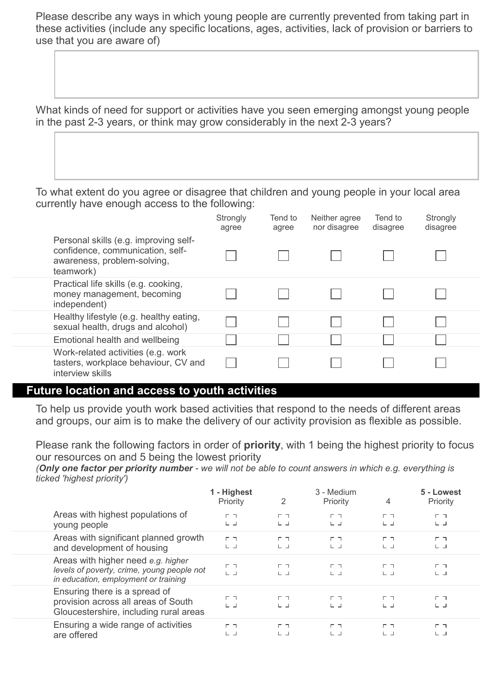Please describe any ways in which young people are currently prevented from taking part in these activities (include any specific locations, ages, activities, lack of provision or barriers to use that you are aware of)

What kinds of need for support or activities have you seen emerging amongst young people in the past 2-3 years, or think may grow considerably in the next 2-3 years?

To what extent do you agree or disagree that children and young people in your local area currently have enough access to the following:

|                  |                                                                                                          | Strongly<br>agree | Tend to<br>agree | Neither agree<br>nor disagree | Tend to<br>disagree | Strongly<br>disagree |  |
|------------------|----------------------------------------------------------------------------------------------------------|-------------------|------------------|-------------------------------|---------------------|----------------------|--|
| teamwork)        | Personal skills (e.g. improving self-<br>confidence, communication, self-<br>awareness, problem-solving, |                   |                  |                               |                     |                      |  |
| independent)     | Practical life skills (e.g. cooking,<br>money management, becoming                                       |                   |                  |                               |                     |                      |  |
|                  | Healthy lifestyle (e.g. healthy eating,<br>sexual health, drugs and alcohol)                             |                   |                  |                               |                     |                      |  |
|                  | Emotional health and wellbeing                                                                           |                   |                  |                               |                     |                      |  |
| interview skills | Work-related activities (e.g. work<br>tasters, workplace behaviour, CV and                               |                   |                  |                               |                     |                      |  |

#### Future location and access to youth activities

To help us provide youth work based activities that respond to the needs of different areas and groups, our aim is to make the delivery of our activity provision as flexible as possible.

Please rank the following factors in order of **priority**, with 1 being the highest priority to focus our resources on and 5 being the lowest priority

(Only one factor per priority number - we will not be able to count answers in which e.g. everything is ticked 'highest priority')

|                                                                                                                          | 1 - Highest<br>Priority | 2                     | 3 - Medium<br>Priority        | 4                     | 5 - Lowest<br>Priority |  |
|--------------------------------------------------------------------------------------------------------------------------|-------------------------|-----------------------|-------------------------------|-----------------------|------------------------|--|
| Areas with highest populations of<br>young people                                                                        | гп<br>$L \rightarrow$   | гп<br>$L \rightarrow$ | г п.<br>$L \rightarrow$       | гп<br>ட்ட             | гп<br>$L \rightarrow$  |  |
| Areas with significant planned growth<br>and development of housing                                                      | гп<br>ㄴ ㄴ               | г п<br>山口             | г п.<br>$L_1$                 | гл<br>ᄔ니              | ㄴ ㄴ                    |  |
| Areas with higher need e.g. higher<br>levels of poverty, crime, young people not<br>in education, employment or training | гп<br>山口                | гэ<br>$L \rightarrow$ | <b>F</b> 7<br>$L \rightarrow$ | гп<br>$L \rightarrow$ | гл<br>$L \rightarrow$  |  |
| Ensuring there is a spread of<br>provision across all areas of South<br>Gloucestershire, including rural areas           | гп<br>ட்ட               | гп<br>日日              | г п<br>山口                     | гп<br>ᄔ니              | г٦<br>ヒコ               |  |
| Ensuring a wide range of activities<br>are offered                                                                       | гп<br>ヒコ                | г п<br>ヒコ             | г п.<br>ヒコ                    | гл<br>ヒコ              | гп<br>ヒコ               |  |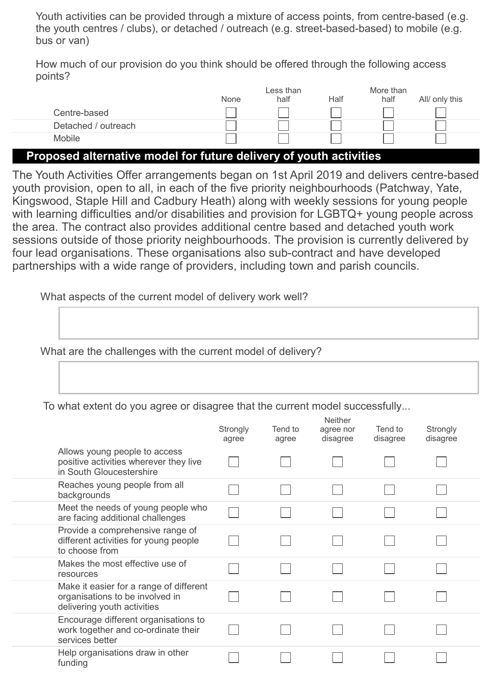Youth activities can be provided through a mixture of access points, from centre-based (e.g. the youth centres / clubs), or detached / outreach (e.g. street-based-based) to mobile (e.g. bus or van)

How much of our provision do you think should be offered through the following access points?

|                                                                       |      | Less than |      | More than |                |  |
|-----------------------------------------------------------------------|------|-----------|------|-----------|----------------|--|
|                                                                       | None | half      | Half | half      | All/ only this |  |
| Centre-based                                                          |      |           |      |           |                |  |
| Detached / outreach                                                   |      |           |      |           |                |  |
| Mobile                                                                |      |           |      |           |                |  |
| Duan a an albamachta na alal fan futuna alaltaama af ua uth-aattuttaa |      |           |      |           |                |  |

### Proposed alternative model for future delivery of youth activities

The Youth Activities Offer arrangements began on 1st April 2019 and delivers centre-based youth provision, open to all, in each of the five priority neighbourhoods (Patchway, Yate, Kingswood, Staple Hill and Cadbury Heath) along with weekly sessions for young people with learning difficulties and/or disabilities and provision for LGBTQ+ young people across the area. The contract also provides additional centre based and detached youth work sessions outside of those priority neighbourhoods. The provision is currently delivered by four lead organisations. These organisations also sub-contract and have developed partnerships with a wide range of providers, including town and parish councils.

What aspects of the current model of delivery work well?

What are the challenges with the current model of delivery?

To what extent do you agree or disagree that the current model successfully...

|                                                                                                           | Strongly<br>agree | Tend to<br>agree | <b>Neither</b><br>agree nor<br>disagree | Tend to<br>disagree | Strongly<br>disagree |
|-----------------------------------------------------------------------------------------------------------|-------------------|------------------|-----------------------------------------|---------------------|----------------------|
| Allows young people to access<br>positive activities wherever they live<br>in South Gloucestershire       |                   |                  |                                         |                     |                      |
| Reaches young people from all<br>backgrounds                                                              |                   |                  |                                         |                     |                      |
| Meet the needs of young people who<br>are facing additional challenges                                    |                   |                  |                                         |                     |                      |
| Provide a comprehensive range of<br>different activities for young people<br>to choose from               |                   |                  |                                         |                     |                      |
| Makes the most effective use of<br>resources                                                              |                   |                  |                                         |                     |                      |
| Make it easier for a range of different<br>organisations to be involved in<br>delivering youth activities |                   |                  |                                         |                     |                      |
| Encourage different organisations to<br>work together and co-ordinate their<br>services better            |                   |                  |                                         |                     |                      |
| Help organisations draw in other<br>funding                                                               |                   |                  |                                         |                     |                      |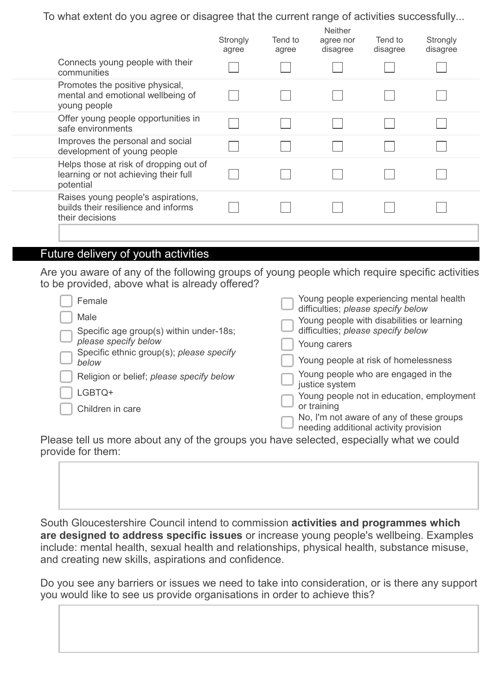To what extent do you agree or disagree that the current range of activities successfully...

|                                                                                              | Strongly<br>agree | Tend to<br>agree | <b>Neither</b><br>agree nor<br>disagree | Tend to<br>disagree | Strongly<br>disagree |  |
|----------------------------------------------------------------------------------------------|-------------------|------------------|-----------------------------------------|---------------------|----------------------|--|
| Connects young people with their<br>communities                                              |                   |                  |                                         |                     |                      |  |
| Promotes the positive physical,<br>mental and emotional wellbeing of<br>young people         |                   |                  |                                         |                     |                      |  |
| Offer young people opportunities in<br>safe environments                                     |                   |                  |                                         |                     |                      |  |
| Improves the personal and social<br>development of young people                              |                   |                  |                                         |                     |                      |  |
| Helps those at risk of dropping out of<br>learning or not achieving their full<br>potential  |                   |                  |                                         |                     |                      |  |
| Raises young people's aspirations,<br>builds their resilience and informs<br>their decisions |                   |                  |                                         |                     |                      |  |
|                                                                                              |                   |                  |                                         |                     |                      |  |

#### Future delivery of youth activities

Are you aware of any of the following groups of young people which require specific activities to be provided, above what is already offered?

| Female                                                           | Young people experiencing mental health<br>difficulties; please specify below    |
|------------------------------------------------------------------|----------------------------------------------------------------------------------|
| Male<br>Specific age group(s) within under-18s;                  | Young people with disabilities or learning<br>difficulties; please specify below |
| please specify below<br>Specific ethnic group(s); please specify | Young carers                                                                     |
| below                                                            | Young people at risk of homelessness                                             |
| Religion or belief; please specify below                         | Young people who are engaged in the<br>justice system                            |
| LGBTQ+                                                           | Young people not in education, employment                                        |
| Children in care                                                 | or training<br>No, I'm not aware of any of these groups                          |
|                                                                  | needing additional activity provision                                            |

Please tell us more about any of the groups you have selected, especially what we could provide for them:

South Gloucestershire Council intend to commission activities and programmes which are designed to address specific issues or increase young people's wellbeing. Examples include: mental health, sexual health and relationships, physical health, substance misuse, and creating new skills, aspirations and confidence.

Do you see any barriers or issues we need to take into consideration, or is there any support you would like to see us provide organisations in order to achieve this?